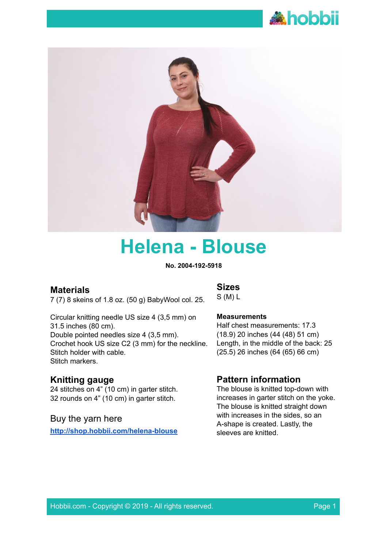



# **Helena - Blouse**

**No. 2004-192-5918**

# **Materials**

7 (7) 8 skeins of 1.8 oz. (50 g) BabyWool col. 25.

Circular knitting needle US size 4 (3,5 mm) on 31.5 inches (80 cm). Double pointed needles size 4 (3,5 mm). Crochet hook US size C2 (3 mm) for the neckline. Stitch holder with cable. Stitch markers.

# **Knitting gauge**

24 stitches on 4" (10 cm) in garter stitch. 32 rounds on 4" (10 cm) in garter stitch.

# Buy the yarn here

**<http://shop.hobbii.com/helena-blouse>**

# **Sizes**

S (M) L

#### **Measurements**

Half chest measurements: 17.3 (18.9) 20 inches (44 (48) 51 cm) Length, in the middle of the back: 25 (25.5) 26 inches (64 (65) 66 cm)

# **Pattern information**

The blouse is knitted top-down with increases in garter stitch on the yoke. The blouse is knitted straight down with increases in the sides, so an A-shape is created. Lastly, the sleeves are knitted.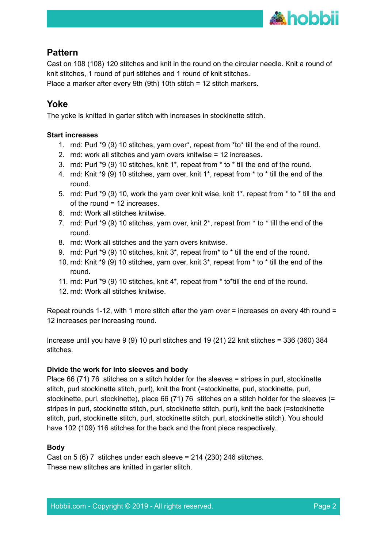

# **Pattern**

Cast on 108 (108) 120 stitches and knit in the round on the circular needle. Knit a round of knit stitches, 1 round of purl stitches and 1 round of knit stitches. Place a marker after every 9th (9th) 10th stitch = 12 stitch markers.

# **Yoke**

The yoke is knitted in garter stitch with increases in stockinette stitch.

#### **Start increases**

- 1. rnd: Purl \*9 (9) 10 stitches, yarn over\*, repeat from \*to\* till the end of the round.
- 2. rnd: work all stitches and yarn overs knitwise = 12 increases.
- 3. rnd: Purl \*9 (9) 10 stitches, knit 1\*, repeat from \* to \* till the end of the round.
- 4. rnd: Knit \*9 (9) 10 stitches, yarn over, knit 1\*, repeat from \* to \* till the end of the round.
- 5. rnd: Purl \*9 (9) 10, work the yarn over knit wise, knit 1\*, repeat from \* to \* till the end of the round = 12 increases.
- 6. rnd: Work all stitches knitwise.
- 7. rnd: Purl \*9 (9) 10 stitches, yarn over, knit 2\*, repeat from \* to \* till the end of the round.
- 8. rnd: Work all stitches and the yarn overs knitwise.
- 9. rnd: Purl \*9 (9) 10 stitches, knit 3\*, repeat from\* to \* till the end of the round.
- 10. rnd: Knit \*9 (9) 10 stitches, yarn over, knit 3\*, repeat from \* to \* till the end of the round.
- 11. rnd: Purl \*9 (9) 10 stitches, knit 4\*, repeat from \* to\*till the end of the round.
- 12. rnd: Work all stitches knitwise.

Repeat rounds 1-12, with 1 more stitch after the yarn over = increases on every 4th round = 12 increases per increasing round.

Increase until you have 9 (9) 10 purl stitches and 19 (21) 22 knit stitches = 336 (360) 384 stitches.

#### **Divide the work for into sleeves and body**

Place 66 (71) 76 stitches on a stitch holder for the sleeves = stripes in purl, stockinette stitch, purl stockinette stitch, purl), knit the front (=stockinette, purl, stockinette, purl, stockinette, purl, stockinette), place 66 (71) 76 stitches on a stitch holder for the sleeves (= stripes in purl, stockinette stitch, purl, stockinette stitch, purl), knit the back (=stockinette stitch, purl, stockinette stitch, purl, stockinette stitch, purl, stockinette stitch). You should have 102 (109) 116 stitches for the back and the front piece respectively.

# **Body**

Cast on 5 (6) 7 stitches under each sleeve =  $214$  (230) 246 stitches. These new stitches are knitted in garter stitch.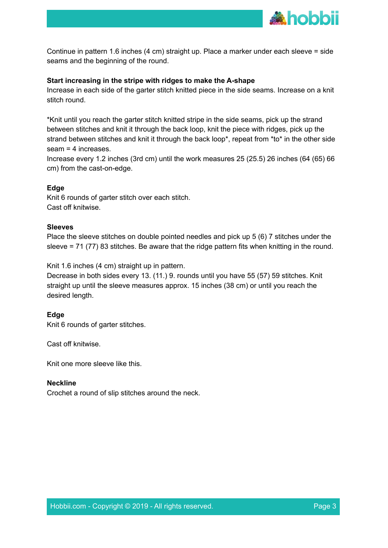

Continue in pattern 1.6 inches (4 cm) straight up. Place a marker under each sleeve = side seams and the beginning of the round.

#### **Start increasing in the stripe with ridges to make the A-shape**

Increase in each side of the garter stitch knitted piece in the side seams. Increase on a knit stitch round.

\*Knit until you reach the garter stitch knitted stripe in the side seams, pick up the strand between stitches and knit it through the back loop, knit the piece with ridges, pick up the strand between stitches and knit it through the back loop\*, repeat from \*to\* in the other side seam = 4 increases.

Increase every 1.2 inches (3rd cm) until the work measures 25 (25.5) 26 inches (64 (65) 66 cm) from the cast-on-edge.

#### **Edge**

Knit 6 rounds of garter stitch over each stitch. Cast off knitwise.

#### **Sleeves**

Place the sleeve stitches on double pointed needles and pick up 5 (6) 7 stitches under the sleeve = 71 (77) 83 stitches. Be aware that the ridge pattern fits when knitting in the round.

Knit 1.6 inches (4 cm) straight up in pattern.

Decrease in both sides every 13. (11.) 9. rounds until you have 55 (57) 59 stitches. Knit straight up until the sleeve measures approx. 15 inches (38 cm) or until you reach the desired length.

# **Edge**

Knit 6 rounds of garter stitches.

Cast off knitwise.

Knit one more sleeve like this.

#### **Neckline**

Crochet a round of slip stitches around the neck.